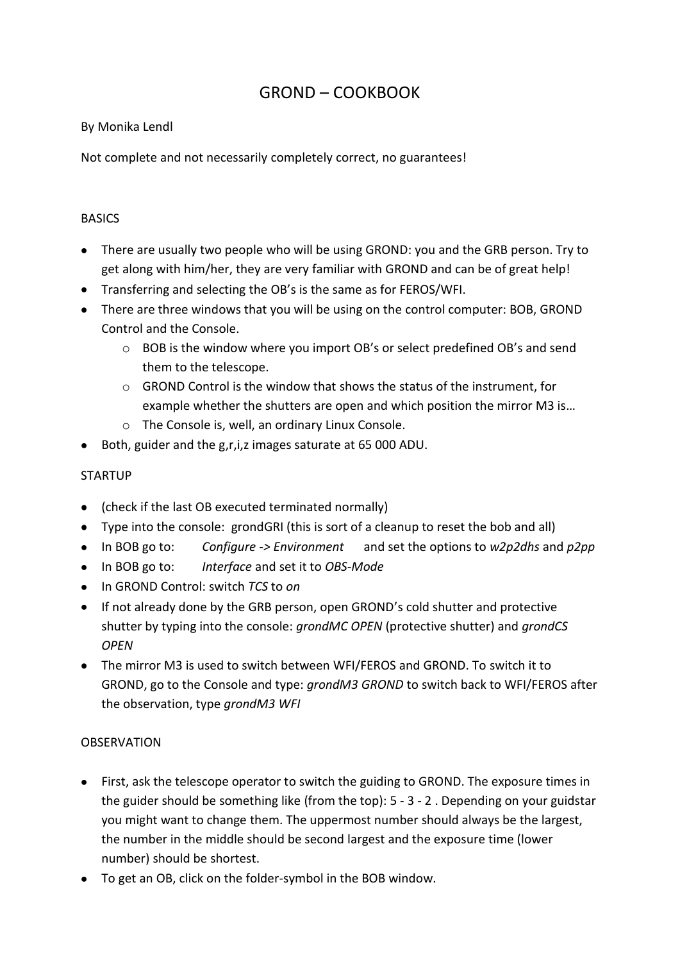# GROND – COOKBOOK

#### By Monika Lendl

Not complete and not necessarily completely correct, no guarantees!

#### BASICS

- There are usually two people who will be using GROND: you and the GRB person. Try to get along with him/her, they are very familiar with GROND and can be of great help!
- Transferring and selecting the OB's is the same as for FEROS/WFI.
- There are three windows that you will be using on the control computer: BOB, GROND Control and the Console.
	- o BOB is the window where you import OB's or select predefined OB's and send them to the telescope.
	- o GROND Control is the window that shows the status of the instrument, for example whether the shutters are open and which position the mirror M3 is…
	- o The Console is, well, an ordinary Linux Console.
- Both, guider and the g,r,i,z images saturate at 65 000 ADU.

### **STARTUP**

- (check if the last OB executed terminated normally)
- Type into the console: grondGRI (this is sort of a cleanup to reset the bob and all)
- In BOB go to: *Configure -> Environment* and set the options to *w2p2dhs* and *p2pp*
- In BOB go to: *Interface* and set it to *OBS-Mode*
- In GROND Control: switch *TCS* to *on*
- If not already done by the GRB person, open GROND's cold shutter and protective shutter by typing into the console: *grondMC OPEN* (protective shutter) and *grondCS OPEN*
- The mirror M3 is used to switch between WFI/FEROS and GROND. To switch it to GROND, go to the Console and type: *grondM3 GROND* to switch back to WFI/FEROS after the observation, type *grondM3 WFI*

# OBSERVATION

- First, ask the telescope operator to switch the guiding to GROND. The exposure times in the guider should be something like (from the top): 5 - 3 - 2 . Depending on your guidstar you might want to change them. The uppermost number should always be the largest, the number in the middle should be second largest and the exposure time (lower number) should be shortest.
- To get an OB, click on the folder-symbol in the BOB window.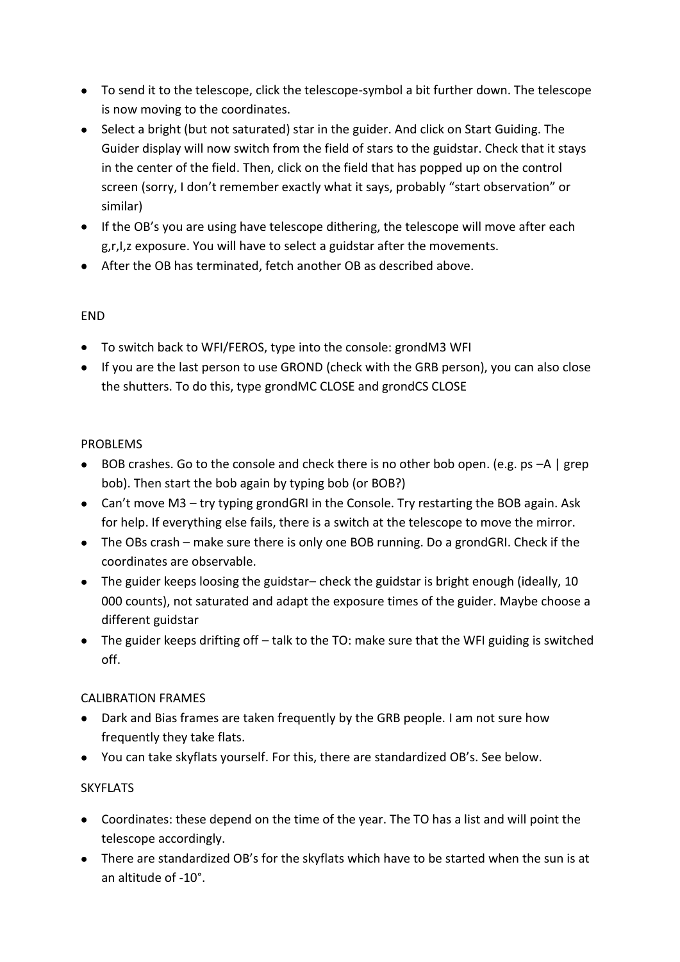- To send it to the telescope, click the telescope-symbol a bit further down. The telescope is now moving to the coordinates.
- Select a bright (but not saturated) star in the guider. And click on Start Guiding. The Guider display will now switch from the field of stars to the guidstar. Check that it stays in the center of the field. Then, click on the field that has popped up on the control screen (sorry, I don't remember exactly what it says, probably "start observation" or similar)
- If the OB's you are using have telescope dithering, the telescope will move after each g,r,I,z exposure. You will have to select a guidstar after the movements.
- After the OB has terminated, fetch another OB as described above.

# END

- To switch back to WFI/FEROS, type into the console: grondM3 WFI
- If you are the last person to use GROND (check with the GRB person), you can also close the shutters. To do this, type grondMC CLOSE and grondCS CLOSE

#### PROBLEMS

- BOB crashes. Go to the console and check there is no other bob open. (e.g. ps -A | grep bob). Then start the bob again by typing bob (or BOB?)
- Can't move M3 try typing grondGRI in the Console. Try restarting the BOB again. Ask for help. If everything else fails, there is a switch at the telescope to move the mirror.
- The OBs crash make sure there is only one BOB running. Do a grondGRI. Check if the coordinates are observable.
- The guider keeps loosing the guidstar– check the guidstar is bright enough (ideally, 10 000 counts), not saturated and adapt the exposure times of the guider. Maybe choose a different guidstar
- The guider keeps drifting off talk to the TO: make sure that the WFI guiding is switched off.

# CALIBRATION FRAMES

- Dark and Bias frames are taken frequently by the GRB people. I am not sure how frequently they take flats.
- You can take skyflats yourself. For this, there are standardized OB's. See below.

# **SKYFLATS**

- Coordinates: these depend on the time of the year. The TO has a list and will point the telescope accordingly.
- There are standardized OB's for the skyflats which have to be started when the sun is at an altitude of -10°.